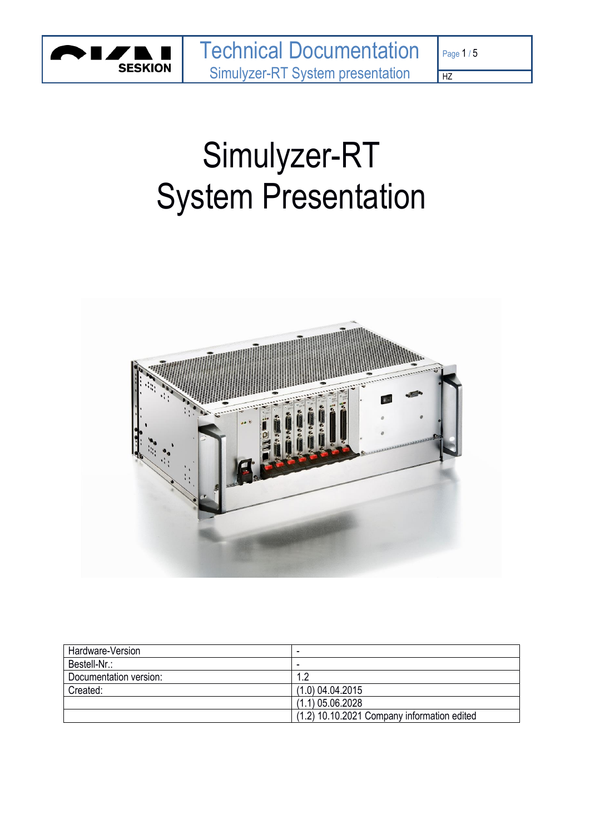

# Page 1 / 5

HZ

Simulyzer-RT System Presentation



| Hardware-Version       | $\overline{\phantom{a}}$                    |
|------------------------|---------------------------------------------|
| Bestell-Nr.:           | $\overline{\phantom{0}}$                    |
| Documentation version: | 12                                          |
| Created:               | $(1.0)$ 04.04.2015                          |
|                        | $(1.1)$ 05.06.2028                          |
|                        | (1.2) 10.10.2021 Company information edited |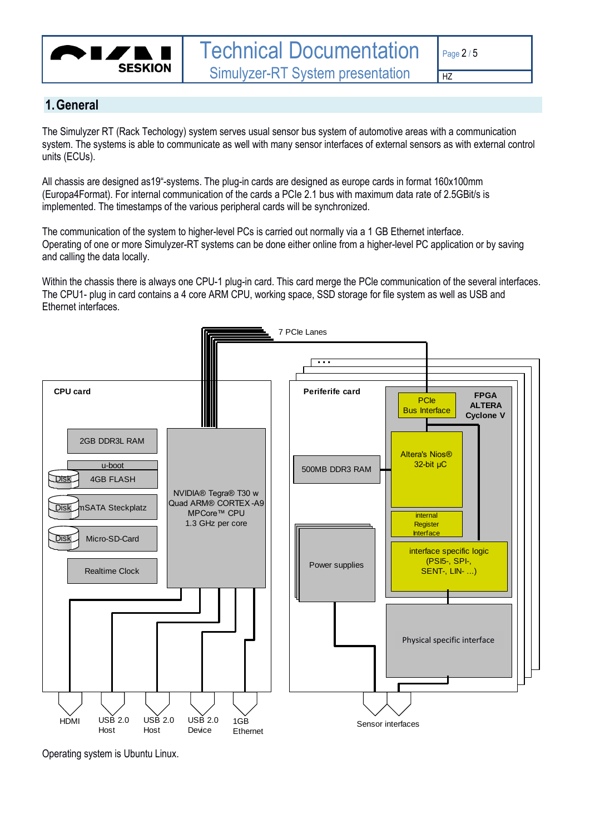

**1.General**

 $\overline{HZ}$ 

The Simulyzer RT (Rack Techology) system serves usual sensor bus system of automotive areas with a communication system. The systems is able to communicate as well with many sensor interfaces of external sensors as with external control units (ECUs).

All chassis are designed as19"-systems. The plug-in cards are designed as europe cards in format 160x100mm (Europa4Format). For internal communication of the cards a PCIe 2.1 bus with maximum data rate of 2.5GBit/s is implemented. The timestamps of the various peripheral cards will be synchronized.

The communication of the system to higher-level PCs is carried out normally via a 1 GB Ethernet interface. Operating of one or more Simulyzer-RT systems can be done either online from a higher-level PC application or by saving and calling the data locally.

Within the chassis there is always one CPU-1 plug-in card. This card merge the PCle communication of the several interfaces. The CPU1- plug in card contains a 4 core ARM CPU, working space, SSD storage for file system as well as USB and Ethernet interfaces.



Operating system is Ubuntu Linux.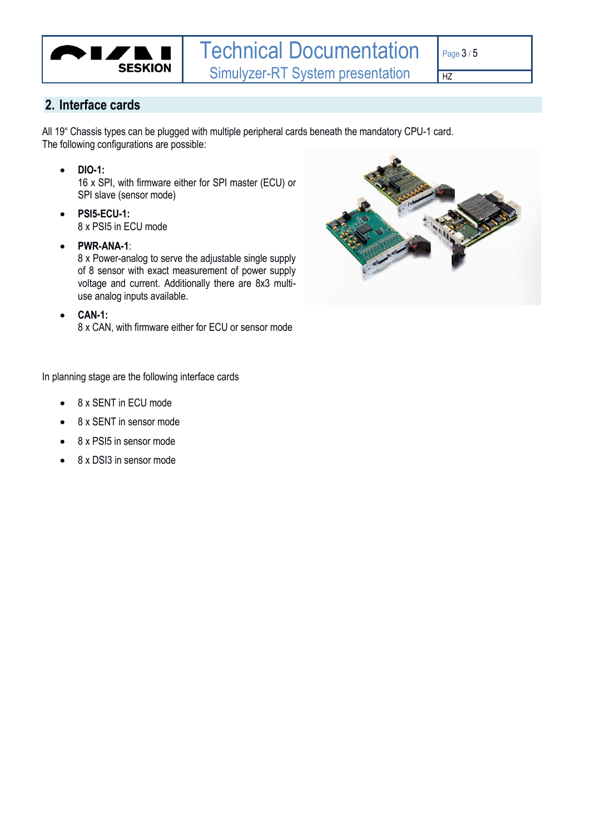

 $HZ$ 

#### **2. Interface cards**

All 19" Chassis types can be plugged with multiple peripheral cards beneath the mandatory CPU-1 card. The following configurations are possible:

• **DIO-1:**

16 x SPI, with firmware either for SPI master (ECU) or SPI slave (sensor mode)

- **PSI5-ECU-1:** 8 x PSI5 in ECU mode
- **PWR-ANA-1**:

8 x Power-analog to serve the adjustable single supply of 8 sensor with exact measurement of power supply voltage and current. Additionally there are 8x3 multiuse analog inputs available.

• **CAN-1:**

8 x CAN, with firmware either for ECU or sensor mode



In planning stage are the following interface cards

- 8 x SENT in ECU mode
- 8 x SENT in sensor mode
- 8 x PSI5 in sensor mode
- 8 x DSI3 in sensor mode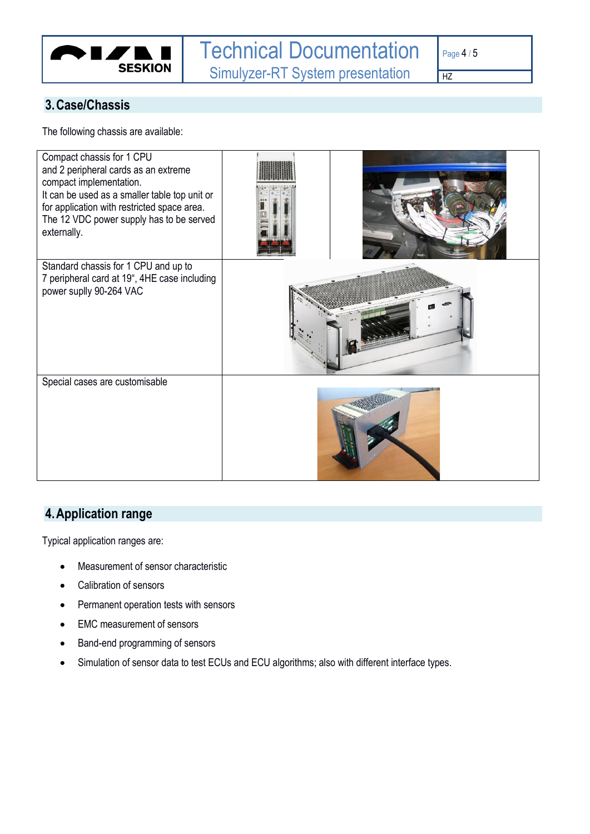

 $HZ$ 

## **3.Case/Chassis**

The following chassis are available:

| Compact chassis for 1 CPU<br>and 2 peripheral cards as an extreme<br>compact implementation.<br>It can be used as a smaller table top unit or<br>for application with restricted space area.<br>The 12 VDC power supply has to be served<br>externally. |  |
|---------------------------------------------------------------------------------------------------------------------------------------------------------------------------------------------------------------------------------------------------------|--|
| Standard chassis for 1 CPU and up to<br>7 peripheral card at 19", 4HE case including<br>power suplly 90-264 VAC                                                                                                                                         |  |
| Special cases are customisable                                                                                                                                                                                                                          |  |

# **4.Application range**

Typical application ranges are:

- Measurement of sensor characteristic
- Calibration of sensors
- Permanent operation tests with sensors
- EMC measurement of sensors
- Band-end programming of sensors
- Simulation of sensor data to test ECUs and ECU algorithms; also with different interface types.